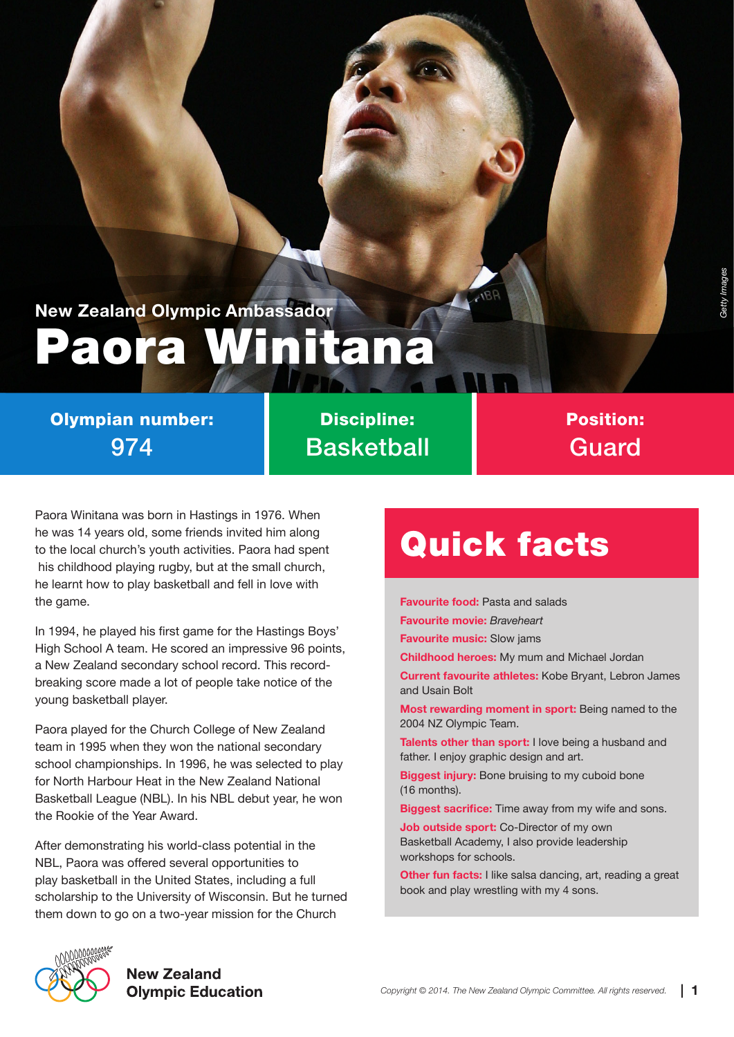*Getty Images*

### Paora Winitana **New Zealand Olympic Ambassador**

#### Olympian number: 974

Discipline: **Basketball** 

#### Position: Guard

Paora Winitana was born in Hastings in 1976. When he was 14 years old, some friends invited him along to the local church's youth activities. Paora had spent his childhood playing rugby, but at the small church, he learnt how to play basketball and fell in love with the game.

In 1994, he played his first game for the Hastings Boys' High School A team. He scored an impressive 96 points, a New Zealand secondary school record. This recordbreaking score made a lot of people take notice of the young basketball player.

Paora played for the Church College of New Zealand team in 1995 when they won the national secondary school championships. In 1996, he was selected to play for North Harbour Heat in the New Zealand National Basketball League (NBL). In his NBL debut year, he won the Rookie of the Year Award.

After demonstrating his world-class potential in the NBL, Paora was offered several opportunities to play basketball in the United States, including a full scholarship to the University of Wisconsin. But he turned them down to go on a two-year mission for the Church

# Quick facts

**Favourite food:** Pasta and salads **Favourite movie:** *Braveheart* **Favourite music:** Slow jams **Childhood heroes:** My mum and Michael Jordan **Current favourite athletes:** Kobe Bryant, Lebron James and Usain Bolt **Most rewarding moment in sport:** Being named to the 2004 NZ Olympic Team. **Talents other than sport:** I love being a husband and father. I enjoy graphic design and art.

**Biggest injury:** Bone bruising to my cuboid bone (16 months).

**Biggest sacrifice:** Time away from my wife and sons.

**Job outside sport:** Co-Director of my own Basketball Academy, I also provide leadership workshops for schools.

**Other fun facts:** I like salsa dancing, art, reading a great book and play wrestling with my 4 sons.



**New Zealand Olympic Education**